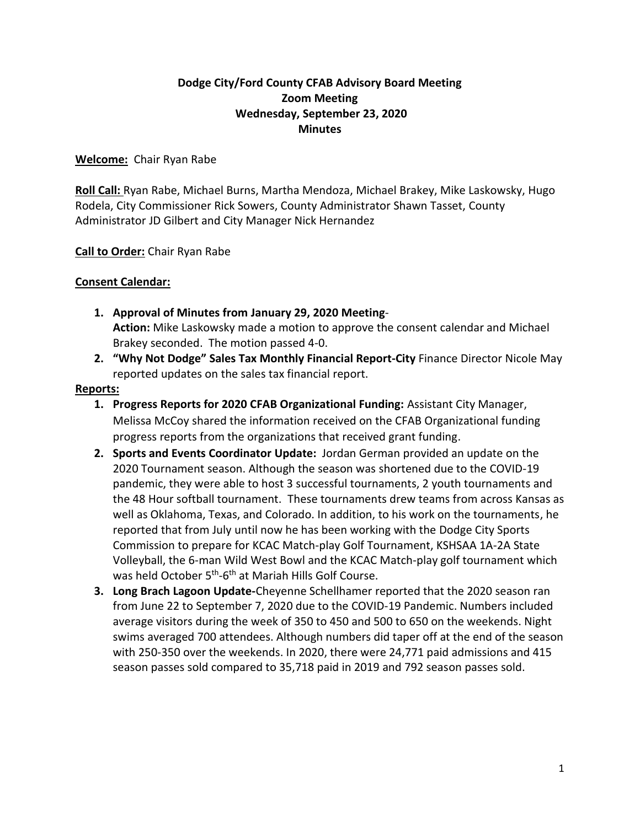# **Dodge City/Ford County CFAB Advisory Board Meeting Zoom Meeting Wednesday, September 23, 2020 Minutes**

## **Welcome:** Chair Ryan Rabe

**Roll Call:** Ryan Rabe, Michael Burns, Martha Mendoza, Michael Brakey, Mike Laskowsky, Hugo Rodela, City Commissioner Rick Sowers, County Administrator Shawn Tasset, County Administrator JD Gilbert and City Manager Nick Hernandez

**Call to Order:** Chair Ryan Rabe

## **Consent Calendar:**

- **1. Approval of Minutes from January 29, 2020 Meeting**-**Action:** Mike Laskowsky made a motion to approve the consent calendar and Michael Brakey seconded. The motion passed 4-0.
- **2. "Why Not Dodge" Sales Tax Monthly Financial Report-City** Finance Director Nicole May reported updates on the sales tax financial report.

### **Reports:**

- **1. Progress Reports for 2020 CFAB Organizational Funding:** Assistant City Manager, Melissa McCoy shared the information received on the CFAB Organizational funding progress reports from the organizations that received grant funding.
- **2. Sports and Events Coordinator Update:** Jordan German provided an update on the 2020 Tournament season. Although the season was shortened due to the COVID-19 pandemic, they were able to host 3 successful tournaments, 2 youth tournaments and the 48 Hour softball tournament. These tournaments drew teams from across Kansas as well as Oklahoma, Texas, and Colorado. In addition, to his work on the tournaments, he reported that from July until now he has been working with the Dodge City Sports Commission to prepare for KCAC Match-play Golf Tournament, KSHSAA 1A-2A State Volleyball, the 6-man Wild West Bowl and the KCAC Match-play golf tournament which was held October 5<sup>th</sup>-6<sup>th</sup> at Mariah Hills Golf Course.
- **3. Long Brach Lagoon Update-**Cheyenne Schellhamer reported that the 2020 season ran from June 22 to September 7, 2020 due to the COVID-19 Pandemic. Numbers included average visitors during the week of 350 to 450 and 500 to 650 on the weekends. Night swims averaged 700 attendees. Although numbers did taper off at the end of the season with 250-350 over the weekends. In 2020, there were 24,771 paid admissions and 415 season passes sold compared to 35,718 paid in 2019 and 792 season passes sold.